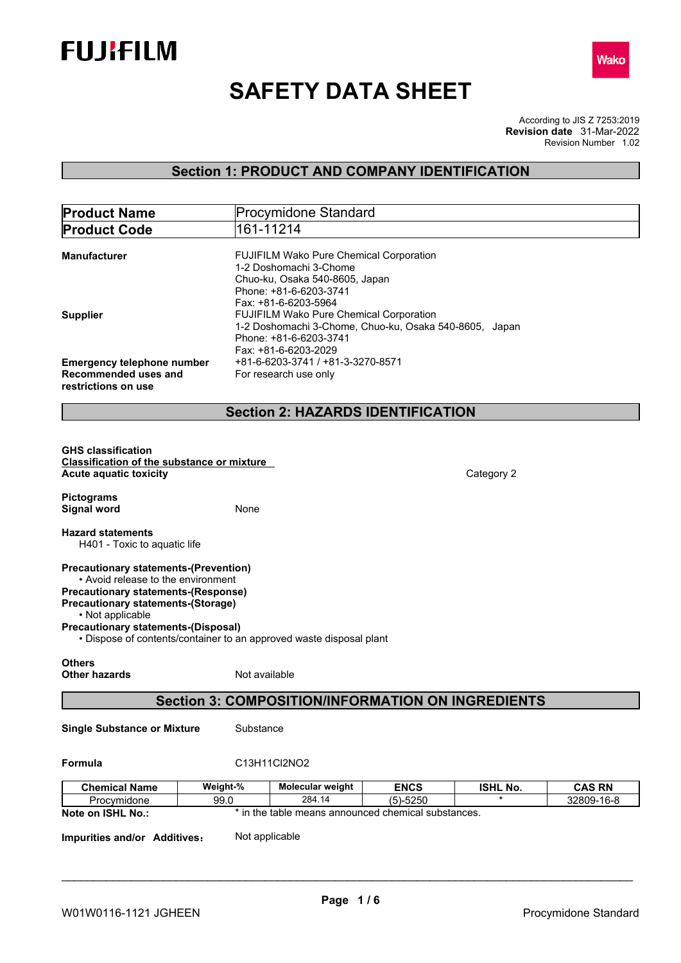



# **SAFETY DATA SHEET**

According to JIS Z 7253:2019 Revision Number 1.02 **Revision date** 31-Mar-2022

## **Section 1: PRODUCT AND COMPANY IDENTIFICATION**

| <b>Product Name</b>                                                                                                                                                                                                                             |               | <b>Procymidone Standard</b>                                                                                                                           |              |                 |               |
|-------------------------------------------------------------------------------------------------------------------------------------------------------------------------------------------------------------------------------------------------|---------------|-------------------------------------------------------------------------------------------------------------------------------------------------------|--------------|-----------------|---------------|
| <b>Product Code</b>                                                                                                                                                                                                                             |               | 161-11214                                                                                                                                             |              |                 |               |
| <b>Manufacturer</b>                                                                                                                                                                                                                             |               | FUJIFILM Wako Pure Chemical Corporation<br>1-2 Doshomachi 3-Chome<br>Chuo-ku, Osaka 540-8605, Japan<br>Phone: +81-6-6203-3741<br>Fax: +81-6-6203-5964 |              |                 |               |
| <b>Supplier</b>                                                                                                                                                                                                                                 |               | FUJIFILM Wako Pure Chemical Corporation<br>1-2 Doshomachi 3-Chome, Chuo-ku, Osaka 540-8605, Japan<br>Phone: +81-6-6203-3741<br>Fax: +81-6-6203-2029   |              |                 |               |
| <b>Emergency telephone number</b><br>Recommended uses and<br>restrictions on use                                                                                                                                                                |               | +81-6-6203-3741 / +81-3-3270-8571<br>For research use only                                                                                            |              |                 |               |
|                                                                                                                                                                                                                                                 |               | <b>Section 2: HAZARDS IDENTIFICATION</b>                                                                                                              |              |                 |               |
|                                                                                                                                                                                                                                                 |               |                                                                                                                                                       |              |                 |               |
| <b>GHS classification</b><br><b>Classification of the substance or mixture</b><br><b>Acute aquatic toxicity</b>                                                                                                                                 |               |                                                                                                                                                       |              | Category 2      |               |
| <b>Pictograms</b><br><b>Signal word</b>                                                                                                                                                                                                         | None          |                                                                                                                                                       |              |                 |               |
| <b>Hazard statements</b><br>H401 - Toxic to aquatic life                                                                                                                                                                                        |               |                                                                                                                                                       |              |                 |               |
| <b>Precautionary statements-(Prevention)</b><br>• Avoid release to the environment<br><b>Precautionary statements-(Response)</b><br><b>Precautionary statements-(Storage)</b><br>• Not applicable<br><b>Precautionary statements-(Disposal)</b> |               | • Dispose of contents/container to an approved waste disposal plant                                                                                   |              |                 |               |
| <b>Others</b><br><b>Other hazards</b>                                                                                                                                                                                                           | Not available |                                                                                                                                                       |              |                 |               |
|                                                                                                                                                                                                                                                 |               | <b>Section 3: COMPOSITION/INFORMATION ON INGREDIENTS</b>                                                                                              |              |                 |               |
| <b>Single Substance or Mixture</b>                                                                                                                                                                                                              | Substance     |                                                                                                                                                       |              |                 |               |
| Formula                                                                                                                                                                                                                                         |               | C13H11Cl2NO2                                                                                                                                          |              |                 |               |
| <b>Chemical Name</b>                                                                                                                                                                                                                            | Weight-%      | Molecular weight                                                                                                                                      | <b>ENCS</b>  | <b>ISHL No.</b> | <b>CAS RN</b> |
| Procymidone                                                                                                                                                                                                                                     | 99.0          | 284.14                                                                                                                                                | $(5) - 5250$ |                 | 32809-16-8    |
| Note on ISHL No.:                                                                                                                                                                                                                               |               | * in the table means announced chemical substances.                                                                                                   |              |                 |               |
| Impurities and/or Additives:                                                                                                                                                                                                                    |               | Not applicable                                                                                                                                        |              |                 |               |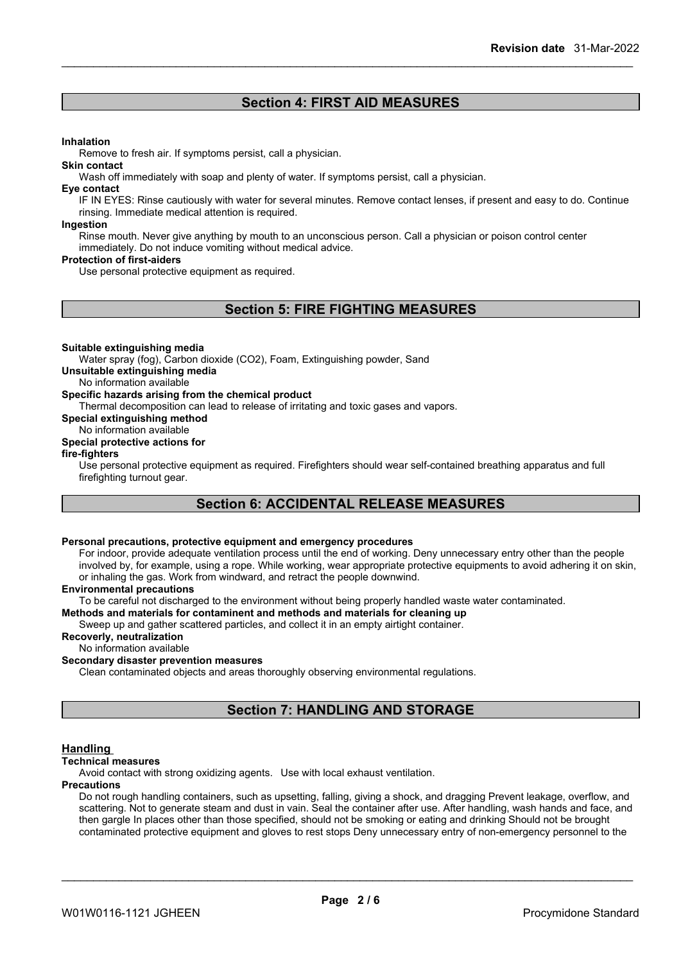## **Section 4: FIRST AID MEASURES**

#### **Inhalation**

Remove to fresh air. If symptoms persist, call a physician.

#### **Skin contact**

Wash off immediately with soap and plenty of water. If symptoms persist, call a physician.

#### **Eye contact**

IF IN EYES: Rinse cautiously with water for several minutes. Remove contact lenses, if present and easy to do. Continue rinsing. Immediate medical attention is required.

#### **Ingestion**

Rinse mouth. Never give anything by mouth to an unconscious person. Call a physician or poison control center immediately. Do not induce vomiting without medical advice.

#### **Protection of first-aiders**

Use personal protective equipment as required.

## **Section 5: FIRE FIGHTING MEASURES**

#### **Suitable extinguishing media**

Water spray (fog), Carbon dioxide (CO2), Foam, Extinguishing powder, Sand

#### **Unsuitable extinguishing media**

No information available

#### **Specific hazards arising from the chemical product**

Thermal decomposition can lead to release of irritating and toxic gases and vapors.

**Special extinguishing method**

### No information available

#### **Special protective actions for**

#### **fire-fighters**

Use personal protective equipment as required.Firefighters should wear self-contained breathing apparatus and full firefighting turnout gear.

## **Section 6: ACCIDENTAL RELEASE MEASURES**

#### **Personal precautions, protective equipment and emergency procedures**

For indoor, provide adequate ventilation process until the end of working. Deny unnecessary entry other than the people involved by, for example, using a rope. While working, wear appropriate protective equipments to avoid adhering it on skin, or inhaling the gas. Work from windward, and retract the people downwind.

#### **Environmental precautions**

To be careful not discharged to the environment without being properly handled waste water contaminated.

**Methods and materials for contaminent and methods and materials for cleaning up**

Sweep up and gather scattered particles, and collect it in an empty airtight container.

#### **Recoverly, neutralization**

No information available

#### **Secondary disaster prevention measures**

Clean contaminated objects and areas thoroughly observing environmental regulations.

## **Section 7: HANDLING AND STORAGE**

#### **Handling**

#### **Technical measures**

Avoid contact with strong oxidizing agents. Use with local exhaust ventilation.

#### **Precautions**

Do not rough handling containers, such as upsetting, falling, giving a shock, and dragging Prevent leakage, overflow, and scattering. Not to generate steam and dust in vain. Seal the container after use. After handling, wash hands and face, and then gargle In places other than those specified, should not be smoking or eating and drinking Should not be brought contaminated protective equipment and gloves to rest stops Deny unnecessary entry of non-emergency personnel to the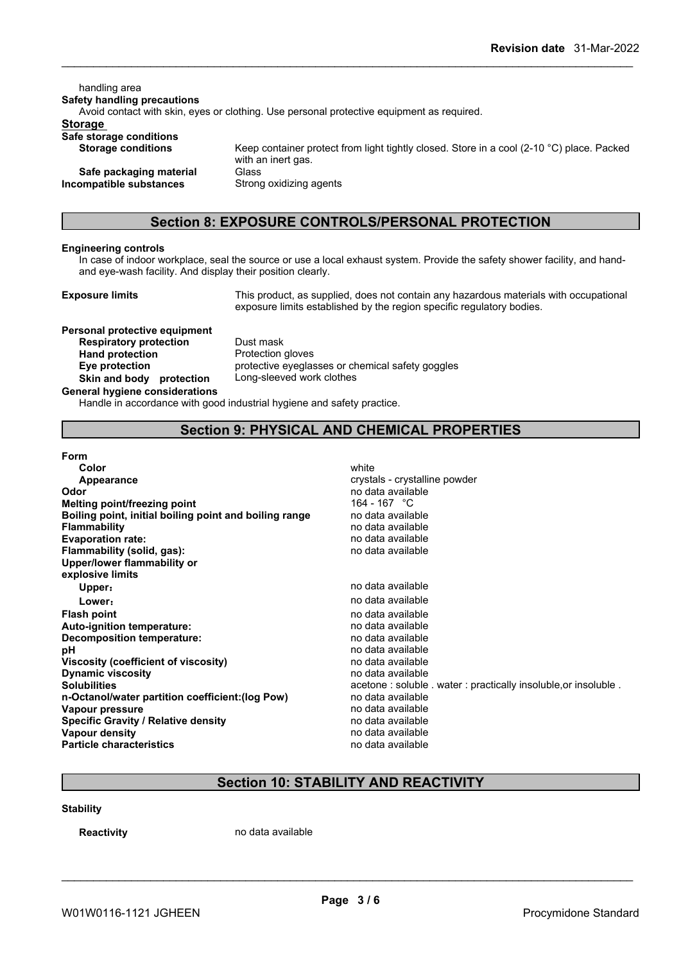handling area **Safety handling precautions** Avoid contact with skin, eyes or clothing. Use personal protective equipment as required.**Storage Safe storage conditions** Keep container protect from light tightly closed. Store in a cool (2-10 °C) place. Packed with an inert gas. **Safe packaging material** Glass<br>**ompatible substances** Strong oxidizing agents **Incompatible** substances

## **Section 8: EXPOSURE CONTROLS/PERSONAL PROTECTION**

#### **Engineering controls**

In case of indoor workplace, seal the source or use a local exhaust system. Provide the safety shower facility, and handand eye-wash facility. And display their position clearly.

**Exposure limits** This product, as supplied, does not contain any hazardous materials with occupational exposure limits established by the region specific regulatory bodies.

**Personal protective equipment Respiratory protection** Dust mask Hand protection **Protection Skin and body protection** Long-sleeved work clothes **General hygiene considerations**

**Eye protection** protective eyeglasses or chemical safety goggles

Handle in accordance with good industrial hygiene and safety practice.

## **Section 9: PHYSICAL AND CHEMICAL PROPERTIES**

#### **Form**

| Color                                                  | white                         |
|--------------------------------------------------------|-------------------------------|
| <b>Appearance</b>                                      | crystals - crystalline powder |
| Odor                                                   | no data available             |
| <b>Melting point/freezing point</b>                    | 164 - 167 °C                  |
| Boiling point, initial boiling point and boiling range | no data available             |
| Flammability                                           | no data available             |
| <b>Evaporation rate:</b>                               | no data available             |
| Flammability (solid, gas):                             | no data available             |
| Upper/lower flammability or                            |                               |
| explosive limits                                       |                               |
| Upper:                                                 | no data available             |
| Lower:                                                 | no data available             |
| <b>Flash point</b>                                     | no data available             |
| Auto-ignition temperature:                             | no data available             |
| Decomposition temperature:                             | no data available             |
| рH                                                     | no data available             |
| Viscosity (coefficient of viscosity)                   | no data available             |
| <b>Dynamic viscosity</b>                               | no data available             |
| <b>Solubilities</b>                                    | acetone: soluble . water: pra |
| n-Octanol/water partition coefficient: (log Pow)       | no data available             |
| Vapour pressure                                        | no data available             |
| <b>Specific Gravity / Relative density</b>             | no data available             |
| <b>Vapour density</b>                                  | no data available             |
| <b>Particle characteristics</b>                        | no data available             |
|                                                        |                               |

crystals - crystalline powder **Odor** no data available **Melting point/freezing point** 164 - 167 °C **Boiling point, initial boiling point and boiling range** no data available **Flammability** no data available **Evaporation rate:** no data available **Flammability (solid, gas):** no data available **Upper:** no data available **Lower:** no data available **Flash point** no data available **Auto-ignition temperature:** no data available **Decomposition temperature:** no data available **pH** no data available **Viscosity (coefficient of viscosity)** no data available **Dynamic viscosity** no data available acetone : soluble . water : practically insoluble,or insoluble . **n-Octanol/water partition coefficient:(log Pow)** no data available **Vapour pressure** no data available **Specific Gravity / Relative density** no data available **Vapour density** no data available **Particle characteristics** no data available

## **Section 10: STABILITY AND REACTIVITY**

#### **Stability**

**Reactivity no data available**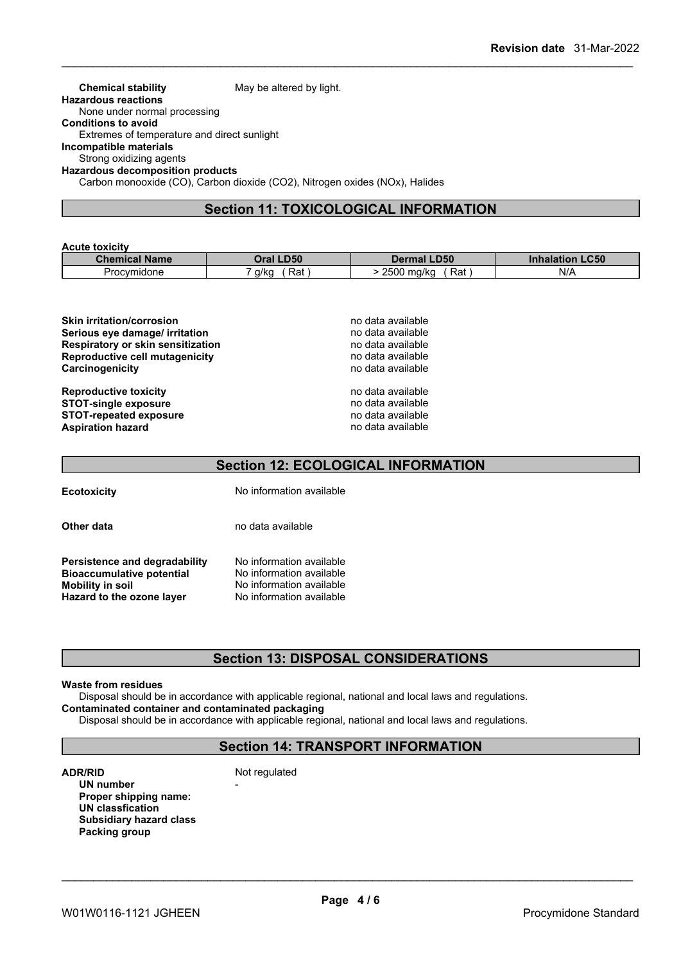#### **Chemical stability** May be altered by light. **Hazardous reactions** None under normal processing **Conditions to avoid** Extremes of temperature and direct sunlight **Incompatible materials** Strong oxidizing agents **Hazardous decomposition products** Carbon monooxide (CO), Carbon dioxide (CO2), Nitrogen oxides (NOx), Halides

## **Section 11: TOXICOLOGICAL INFORMATION**

#### **Acute toxicity**

| Chen        | <b>.D50</b> | <b>LD50</b>                | <b>_C50</b> |
|-------------|-------------|----------------------------|-------------|
| emical Name | )ra         | Dermal                     | ınnalatlon  |
| Procymidone | a/ka<br>Rat | 2500<br>⊃⊶<br>ma/ka<br>Rai | N/f         |

| <b>Skin irritation/corrosion</b>         | no data available |
|------------------------------------------|-------------------|
|                                          |                   |
| Serious eye damage/ irritation           | no data available |
| <b>Respiratory or skin sensitization</b> | no data available |
| Reproductive cell mutagenicity           | no data available |
| Carcinogenicity                          | no data available |
| <b>Reproductive toxicity</b>             | no data available |
| <b>STOT-single exposure</b>              | no data available |
| <b>STOT-repeated exposure</b>            | no data available |
| <b>Aspiration hazard</b>                 | no data available |

## **Section 12: ECOLOGICAL INFORMATION**

**Ecotoxicity** No information available

**Other data** no data available

**Persistence and degradability** No information available **Bioaccumulative potential** No information available<br> **Mobility in soil** No information available No information available<br>No information available **Hazard** to the ozone layer

## **Section 13: DISPOSAL CONSIDERATIONS**

#### **Waste from residues**

Disposal should be in accordance with applicable regional, national and local laws and regulations.

**Contaminated container and contaminated packaging**

Disposal should be in accordance with applicable regional, national and local laws and regulations.

## **Section 14: TRANSPORT INFORMATION**

**ADR/RID** Not regulated

**UN number** - **Proper shipping name: UN classfication Subsidiary hazard class Packing group**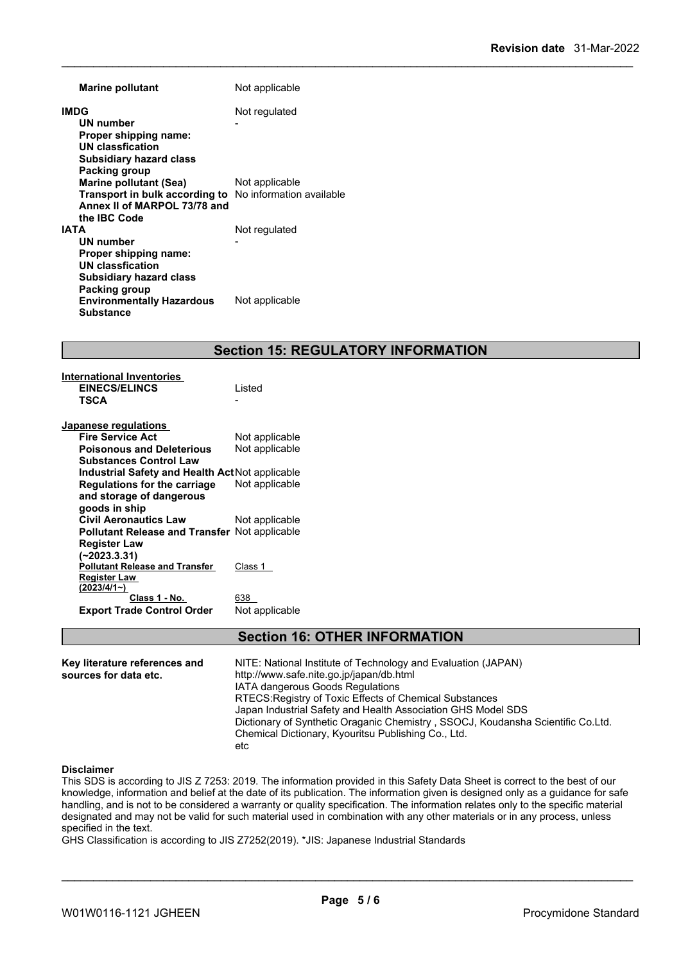| <b>Marine pollutant</b>          | Not applicable           |
|----------------------------------|--------------------------|
| <b>IMDG</b>                      | Not regulated            |
| UN number                        |                          |
| Proper shipping name:            |                          |
| UN classfication                 |                          |
| <b>Subsidiary hazard class</b>   |                          |
| Packing group                    |                          |
| Marine pollutant (Sea)           | Not applicable           |
| Transport in bulk according to   | No information available |
| Annex II of MARPOL 73/78 and     |                          |
| the <b>IBC</b> Code              |                          |
| <b>IATA</b>                      | Not regulated            |
| UN number                        |                          |
| Proper shipping name:            |                          |
| UN classfication                 |                          |
| Subsidiary hazard class          |                          |
| <b>Packing group</b>             |                          |
| <b>Environmentally Hazardous</b> | Not applicable           |
| <b>Substance</b>                 |                          |
|                                  |                          |

## **Section 15: REGULATORY INFORMATION**

| Listed                                               |
|------------------------------------------------------|
|                                                      |
|                                                      |
|                                                      |
| Not applicable                                       |
| Not applicable                                       |
|                                                      |
| Industrial Safety and Health Act Not applicable      |
| Not applicable                                       |
|                                                      |
|                                                      |
| Not applicable                                       |
| <b>Pollutant Release and Transfer</b> Not applicable |
|                                                      |
|                                                      |
| Class 1                                              |
|                                                      |
|                                                      |
| 638                                                  |
| Not applicable                                       |
|                                                      |

**International Inventories**

## **Section 16: OTHER INFORMATION**

| Key literature references and | NITE: National Institute of Technology and Evaluation (JAPAN)                   |
|-------------------------------|---------------------------------------------------------------------------------|
| sources for data etc.         | http://www.safe.nite.go.jp/japan/db.html                                        |
|                               | IATA dangerous Goods Regulations                                                |
|                               | RTECS: Registry of Toxic Effects of Chemical Substances                         |
|                               | Japan Industrial Safety and Health Association GHS Model SDS                    |
|                               | Dictionary of Synthetic Oraganic Chemistry, SSOCJ, Koudansha Scientific Co.Ltd. |
|                               | Chemical Dictionary, Kyouritsu Publishing Co., Ltd.                             |
|                               | etc                                                                             |

#### **Disclaimer**

This SDS is according to JIS Z 7253: 2019. The information provided in this Safety Data Sheet is correct to the best of our knowledge, information and belief at the date of its publication. The information given is designed only as a guidance for safe handling, and is not to be considered a warranty or quality specification. The information relates only to the specific material designated and may not be valid for such material used in combination with any other materials or in any process, unless specified in the text.

GHS Classification is according to JIS Z7252(2019). \*JIS: Japanese Industrial Standards